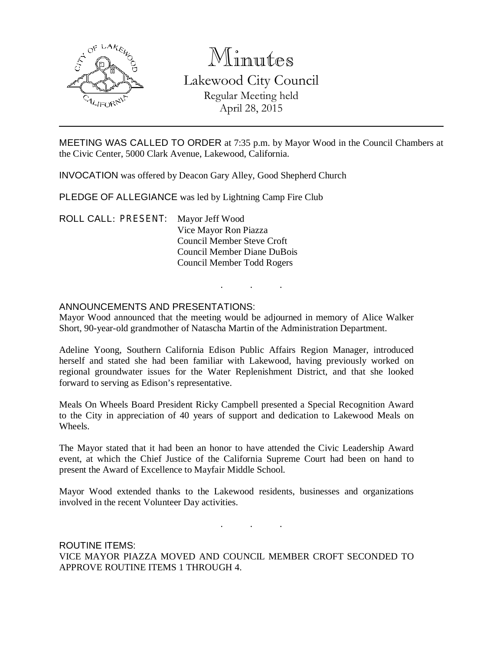

# Minutes Lakewood City Council Regular Meeting held April 28, 2015

MEETING WAS CALLED TO ORDER at 7:35 p.m. by Mayor Wood in the Council Chambers at the Civic Center, 5000 Clark Avenue, Lakewood, California.

INVOCATION was offered by Deacon Gary Alley, Good Shepherd Church

PLEDGE OF ALLEGIANCE was led by Lightning Camp Fire Club

ROLL CALL: PRESENT: Mayor Jeff Wood Vice Mayor Ron Piazza Council Member Steve Croft Council Member Diane DuBois Council Member Todd Rogers

### ANNOUNCEMENTS AND PRESENTATIONS:

Mayor Wood announced that the meeting would be adjourned in memory of Alice Walker Short, 90-year-old grandmother of Natascha Martin of the Administration Department.

. . .

Adeline Yoong, Southern California Edison Public Affairs Region Manager, introduced herself and stated she had been familiar with Lakewood, having previously worked on regional groundwater issues for the Water Replenishment District, and that she looked forward to serving as Edison's representative.

Meals On Wheels Board President Ricky Campbell presented a Special Recognition Award to the City in appreciation of 40 years of support and dedication to Lakewood Meals on Wheels.

The Mayor stated that it had been an honor to have attended the Civic Leadership Award event, at which the Chief Justice of the California Supreme Court had been on hand to present the Award of Excellence to Mayfair Middle School.

Mayor Wood extended thanks to the Lakewood residents, businesses and organizations involved in the recent Volunteer Day activities.

. . .

ROUTINE ITEMS: VICE MAYOR PIAZZA MOVED AND COUNCIL MEMBER CROFT SECONDED TO APPROVE ROUTINE ITEMS 1 THROUGH 4.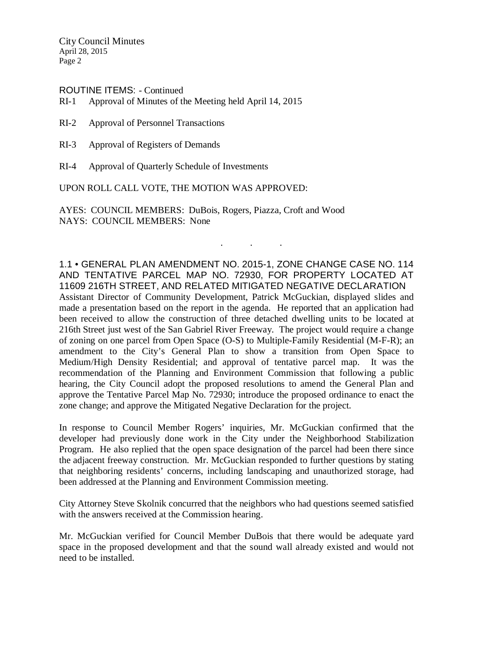ROUTINE ITEMS: - Continued

RI-1 Approval of Minutes of the Meeting held April 14, 2015

- RI-2 Approval of Personnel Transactions
- RI-3 Approval of Registers of Demands
- RI-4 Approval of Quarterly Schedule of Investments

UPON ROLL CALL VOTE, THE MOTION WAS APPROVED:

AYES: COUNCIL MEMBERS: DuBois, Rogers, Piazza, Croft and Wood NAYS: COUNCIL MEMBERS: None

1.1 • GENERAL PLAN AMENDMENT NO. 2015-1, ZONE CHANGE CASE NO. 114 AND TENTATIVE PARCEL MAP NO. 72930, FOR PROPERTY LOCATED AT 11609 216TH STREET, AND RELATED MITIGATED NEGATIVE DECLARATION Assistant Director of Community Development, Patrick McGuckian, displayed slides and made a presentation based on the report in the agenda. He reported that an application had been received to allow the construction of three detached dwelling units to be located at 216th Street just west of the San Gabriel River Freeway. The project would require a change of zoning on one parcel from Open Space (O-S) to Multiple-Family Residential (M-F-R); an amendment to the City's General Plan to show a transition from Open Space to Medium/High Density Residential; and approval of tentative parcel map. It was the recommendation of the Planning and Environment Commission that following a public hearing, the City Council adopt the proposed resolutions to amend the General Plan and approve the Tentative Parcel Map No. 72930; introduce the proposed ordinance to enact the zone change; and approve the Mitigated Negative Declaration for the project.

. . .

In response to Council Member Rogers' inquiries, Mr. McGuckian confirmed that the developer had previously done work in the City under the Neighborhood Stabilization Program. He also replied that the open space designation of the parcel had been there since the adjacent freeway construction. Mr. McGuckian responded to further questions by stating that neighboring residents' concerns, including landscaping and unauthorized storage, had been addressed at the Planning and Environment Commission meeting.

City Attorney Steve Skolnik concurred that the neighbors who had questions seemed satisfied with the answers received at the Commission hearing.

Mr. McGuckian verified for Council Member DuBois that there would be adequate yard space in the proposed development and that the sound wall already existed and would not need to be installed.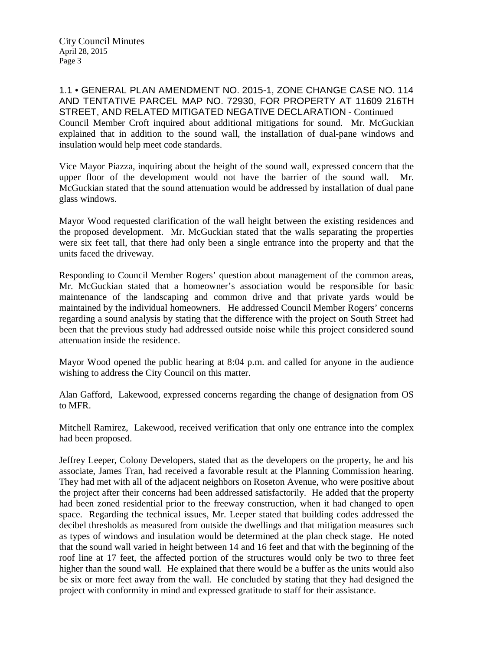1.1 • GENERAL PLAN AMENDMENT NO. 2015-1, ZONE CHANGE CASE NO. 114 AND TENTATIVE PARCEL MAP NO. 72930, FOR PROPERTY AT 11609 216TH STREET, AND RELATED MITIGATED NEGATIVE DECLARATION - Continued Council Member Croft inquired about additional mitigations for sound. Mr. McGuckian explained that in addition to the sound wall, the installation of dual-pane windows and insulation would help meet code standards.

Vice Mayor Piazza, inquiring about the height of the sound wall, expressed concern that the upper floor of the development would not have the barrier of the sound wall. Mr. McGuckian stated that the sound attenuation would be addressed by installation of dual pane glass windows.

Mayor Wood requested clarification of the wall height between the existing residences and the proposed development. Mr. McGuckian stated that the walls separating the properties were six feet tall, that there had only been a single entrance into the property and that the units faced the driveway.

Responding to Council Member Rogers' question about management of the common areas, Mr. McGuckian stated that a homeowner's association would be responsible for basic maintenance of the landscaping and common drive and that private yards would be maintained by the individual homeowners. He addressed Council Member Rogers' concerns regarding a sound analysis by stating that the difference with the project on South Street had been that the previous study had addressed outside noise while this project considered sound attenuation inside the residence.

Mayor Wood opened the public hearing at 8:04 p.m. and called for anyone in the audience wishing to address the City Council on this matter.

Alan Gafford, Lakewood, expressed concerns regarding the change of designation from OS to MFR.

Mitchell Ramirez, Lakewood, received verification that only one entrance into the complex had been proposed.

Jeffrey Leeper, Colony Developers, stated that as the developers on the property, he and his associate, James Tran, had received a favorable result at the Planning Commission hearing. They had met with all of the adjacent neighbors on Roseton Avenue, who were positive about the project after their concerns had been addressed satisfactorily. He added that the property had been zoned residential prior to the freeway construction, when it had changed to open space. Regarding the technical issues, Mr. Leeper stated that building codes addressed the decibel thresholds as measured from outside the dwellings and that mitigation measures such as types of windows and insulation would be determined at the plan check stage. He noted that the sound wall varied in height between 14 and 16 feet and that with the beginning of the roof line at 17 feet, the affected portion of the structures would only be two to three feet higher than the sound wall. He explained that there would be a buffer as the units would also be six or more feet away from the wall. He concluded by stating that they had designed the project with conformity in mind and expressed gratitude to staff for their assistance.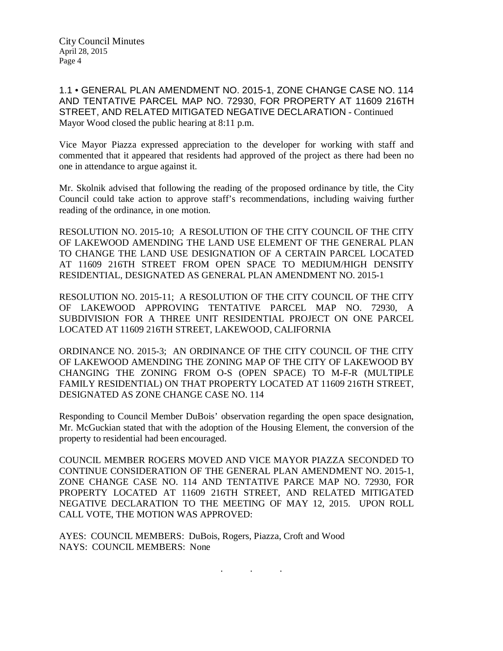1.1 • GENERAL PLAN AMENDMENT NO. 2015-1, ZONE CHANGE CASE NO. 114 AND TENTATIVE PARCEL MAP NO. 72930, FOR PROPERTY AT 11609 216TH STREET, AND RELATED MITIGATED NEGATIVE DECLARATION - Continued Mayor Wood closed the public hearing at 8:11 p.m.

Vice Mayor Piazza expressed appreciation to the developer for working with staff and commented that it appeared that residents had approved of the project as there had been no one in attendance to argue against it.

Mr. Skolnik advised that following the reading of the proposed ordinance by title, the City Council could take action to approve staff's recommendations, including waiving further reading of the ordinance, in one motion.

RESOLUTION NO. 2015-10; A RESOLUTION OF THE CITY COUNCIL OF THE CITY OF LAKEWOOD AMENDING THE LAND USE ELEMENT OF THE GENERAL PLAN TO CHANGE THE LAND USE DESIGNATION OF A CERTAIN PARCEL LOCATED AT 11609 216TH STREET FROM OPEN SPACE TO MEDIUM/HIGH DENSITY RESIDENTIAL, DESIGNATED AS GENERAL PLAN AMENDMENT NO. 2015-1

RESOLUTION NO. 2015-11; A RESOLUTION OF THE CITY COUNCIL OF THE CITY OF LAKEWOOD APPROVING TENTATIVE PARCEL MAP NO. 72930, A SUBDIVISION FOR A THREE UNIT RESIDENTIAL PROJECT ON ONE PARCEL LOCATED AT 11609 216TH STREET, LAKEWOOD, CALIFORNIA

ORDINANCE NO. 2015-3; AN ORDINANCE OF THE CITY COUNCIL OF THE CITY OF LAKEWOOD AMENDING THE ZONING MAP OF THE CITY OF LAKEWOOD BY CHANGING THE ZONING FROM O-S (OPEN SPACE) TO M-F-R (MULTIPLE FAMILY RESIDENTIAL) ON THAT PROPERTY LOCATED AT 11609 216TH STREET, DESIGNATED AS ZONE CHANGE CASE NO. 114

Responding to Council Member DuBois' observation regarding the open space designation, Mr. McGuckian stated that with the adoption of the Housing Element, the conversion of the property to residential had been encouraged.

COUNCIL MEMBER ROGERS MOVED AND VICE MAYOR PIAZZA SECONDED TO CONTINUE CONSIDERATION OF THE GENERAL PLAN AMENDMENT NO. 2015-1, ZONE CHANGE CASE NO. 114 AND TENTATIVE PARCE MAP NO. 72930, FOR PROPERTY LOCATED AT 11609 216TH STREET, AND RELATED MITIGATED NEGATIVE DECLARATION TO THE MEETING OF MAY 12, 2015. UPON ROLL CALL VOTE, THE MOTION WAS APPROVED:

. . .

AYES: COUNCIL MEMBERS: DuBois, Rogers, Piazza, Croft and Wood NAYS: COUNCIL MEMBERS: None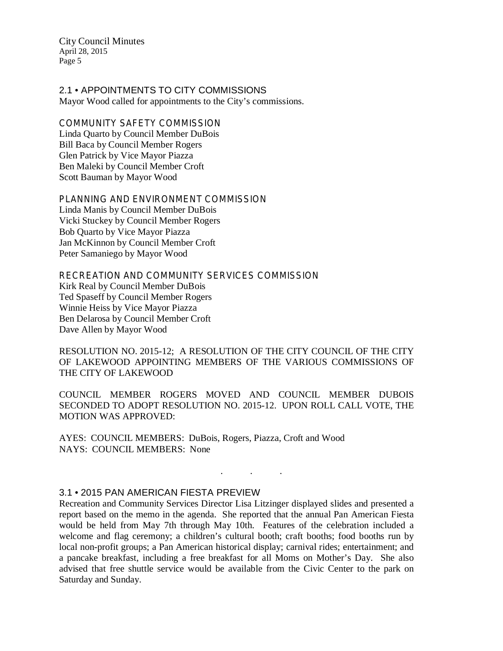2.1 • APPOINTMENTS TO CITY COMMISSIONS Mayor Wood called for appointments to the City's commissions.

COMMUNITY SAFETY COMMISSION Linda Quarto by Council Member DuBois Bill Baca by Council Member Rogers Glen Patrick by Vice Mayor Piazza Ben Maleki by Council Member Croft Scott Bauman by Mayor Wood

PLANNING AND ENVIRONMENT COMMISSION Linda Manis by Council Member DuBois Vicki Stuckey by Council Member Rogers Bob Quarto by Vice Mayor Piazza Jan McKinnon by Council Member Croft Peter Samaniego by Mayor Wood

RECREATION AND COMMUNITY SERVICES COMMISSION Kirk Real by Council Member DuBois Ted Spaseff by Council Member Rogers Winnie Heiss by Vice Mayor Piazza Ben Delarosa by Council Member Croft Dave Allen by Mayor Wood

RESOLUTION NO. 2015-12; A RESOLUTION OF THE CITY COUNCIL OF THE CITY OF LAKEWOOD APPOINTING MEMBERS OF THE VARIOUS COMMISSIONS OF THE CITY OF LAKEWOOD

COUNCIL MEMBER ROGERS MOVED AND COUNCIL MEMBER DUBOIS SECONDED TO ADOPT RESOLUTION NO. 2015-12. UPON ROLL CALL VOTE, THE MOTION WAS APPROVED:

. . .

AYES: COUNCIL MEMBERS: DuBois, Rogers, Piazza, Croft and Wood NAYS: COUNCIL MEMBERS: None

#### 3.1 • 2015 PAN AMERICAN FIESTA PREVIEW

Recreation and Community Services Director Lisa Litzinger displayed slides and presented a report based on the memo in the agenda. She reported that the annual Pan American Fiesta would be held from May 7th through May 10th. Features of the celebration included a welcome and flag ceremony; a children's cultural booth; craft booths; food booths run by local non-profit groups; a Pan American historical display; carnival rides; entertainment; and a pancake breakfast, including a free breakfast for all Moms on Mother's Day. She also advised that free shuttle service would be available from the Civic Center to the park on Saturday and Sunday.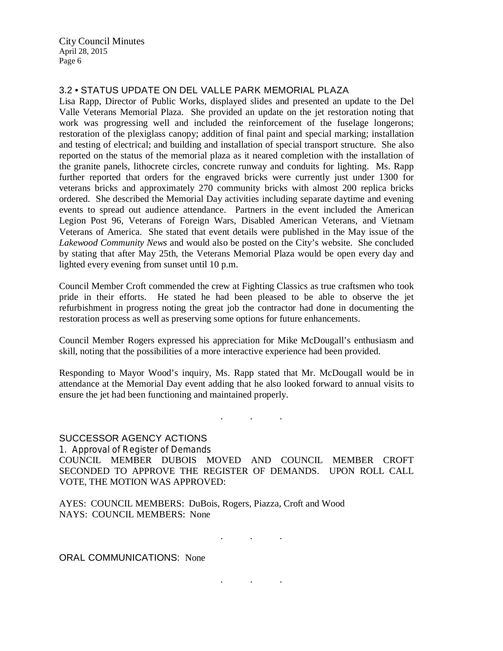## 3.2 • STATUS UPDATE ON DEL VALLE PARK MEMORIAL PLAZA

Lisa Rapp, Director of Public Works, displayed slides and presented an update to the Del Valle Veterans Memorial Plaza. She provided an update on the jet restoration noting that work was progressing well and included the reinforcement of the fuselage longerons; restoration of the plexiglass canopy; addition of final paint and special marking; installation and testing of electrical; and building and installation of special transport structure. She also reported on the status of the memorial plaza as it neared completion with the installation of the granite panels, lithocrete circles, concrete runway and conduits for lighting. Ms. Rapp further reported that orders for the engraved bricks were currently just under 1300 for veterans bricks and approximately 270 community bricks with almost 200 replica bricks ordered. She described the Memorial Day activities including separate daytime and evening events to spread out audience attendance. Partners in the event included the American Legion Post 96, Veterans of Foreign Wars, Disabled American Veterans, and Vietnam Veterans of America. She stated that event details were published in the May issue of the *Lakewood Community News* and would also be posted on the City's website. She concluded by stating that after May 25th, the Veterans Memorial Plaza would be open every day and lighted every evening from sunset until 10 p.m.

Council Member Croft commended the crew at Fighting Classics as true craftsmen who took pride in their efforts. He stated he had been pleased to be able to observe the jet refurbishment in progress noting the great job the contractor had done in documenting the restoration process as well as preserving some options for future enhancements.

Council Member Rogers expressed his appreciation for Mike McDougall's enthusiasm and skill, noting that the possibilities of a more interactive experience had been provided.

Responding to Mayor Wood's inquiry, Ms. Rapp stated that Mr. McDougall would be in attendance at the Memorial Day event adding that he also looked forward to annual visits to ensure the jet had been functioning and maintained properly.

. . .

#### SUCCESSOR AGENCY ACTIONS

1. Approval of Register of Demands COUNCIL MEMBER DUBOIS MOVED AND COUNCIL MEMBER CROFT SECONDED TO APPROVE THE REGISTER OF DEMANDS. UPON ROLL CALL VOTE, THE MOTION WAS APPROVED:

AYES: COUNCIL MEMBERS: DuBois, Rogers, Piazza, Croft and Wood NAYS: COUNCIL MEMBERS: None

. . .

. . .

ORAL COMMUNICATIONS: None